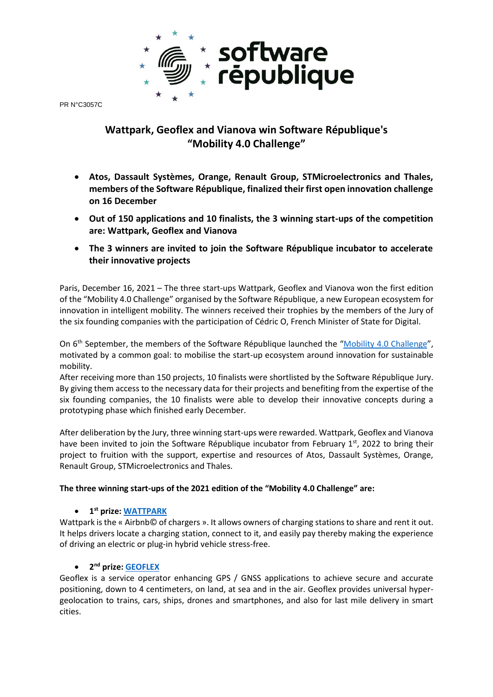

PR N°C3057C

# **Wattpark, Geoflex and Vianova win Software République's "Mobility 4.0 Challenge"**

- **Atos, Dassault Systèmes, Orange, Renault Group, STMicroelectronics and Thales, members of the Software République, finalized their first open innovation challenge on 16 December**
- **Out of 150 applications and 10 finalists, the 3 winning start-ups of the competition are: Wattpark, Geoflex and Vianova**
- **The 3 winners are invited to join the Software République incubator to accelerate their innovative projects**

Paris, December 16, 2021 – The three start-ups Wattpark, Geoflex and Vianova won the first edition of the "Mobility 4.0 Challenge" organised by the Software République, a new European ecosystem for innovation in intelligent mobility. The winners received their trophies by the members of the Jury of the six founding companies with the participation of Cédric O, French Minister of State for Digital.

On 6<sup>th</sup> September, the members of the Software République launched the "[Mobility 4.0 Challenge](https://www.challenge-software-republique.com/)", motivated by a common goal: to mobilise the start-up ecosystem around innovation for sustainable mobility.

After receiving more than 150 projects, 10 finalists were shortlisted by the Software République Jury. By giving them access to the necessary data for their projects and benefiting from the expertise of the six founding companies, the 10 finalists were able to develop their innovative concepts during a prototyping phase which finished early December.

After deliberation by the Jury, three winning start-ups were rewarded. Wattpark, Geoflex and Vianova have been invited to join the Software République incubator from February 1<sup>st</sup>, 2022 to bring their project to fruition with the support, expertise and resources of Atos, Dassault Systèmes, Orange, Renault Group, STMicroelectronics and Thales.

### **The three winning start-ups of the 2021 edition of the "Mobility 4.0 Challenge" are:**

## • **1 st prize: [WATTPARK](https://www.youtube.com/watch?v=fBc0wpJEjUo)**

Wattpark is the « Airbnb© of chargers ». It allows owners of charging stations to share and rent it out. It helps drivers locate a charging station, connect to it, and easily pay thereby making the experience of driving an electric or plug-in hybrid vehicle stress-free.

## • **2 nd prize[: GEOFLEX](https://www.youtube.com/watch?v=RD9X6GfMLaM)**

Geoflex is a service operator enhancing GPS / GNSS applications to achieve secure and accurate positioning, down to 4 centimeters, on land, at sea and in the air. Geoflex provides universal hypergeolocation to trains, cars, ships, drones and smartphones, and also for last mile delivery in smart cities.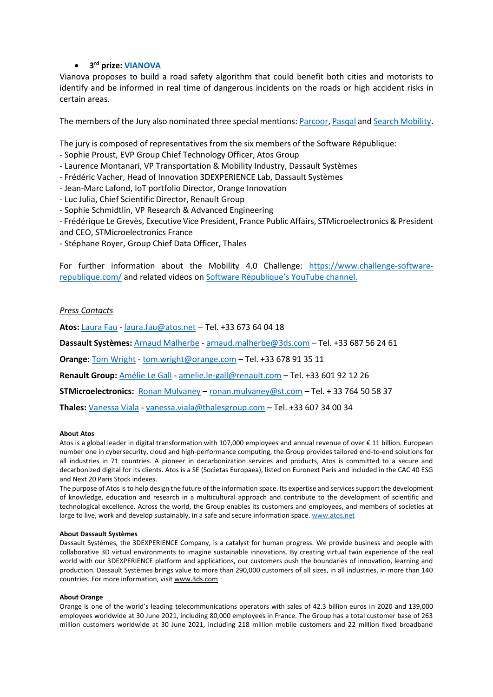### • **3 rd prize: [VIANOVA](https://www.youtube.com/watch?v=v3I4WAiK3RY)**

Vianova proposes to build a road safety algorithm that could benefit both cities and motorists to identify and be informed in real time of dangerous incidents on the roads or high accident risks in certain areas.

The members of the Jury also nominated three special mentions: [Parcoor,](https://www.youtube.com/watch?v=Gm4Wtzok-Gg) [Pasqal](https://www.youtube.com/watch?v=q7v3KPrlLkk) and [Search Mobility.](https://www.youtube.com/watch?v=BL74Cm-VelA)

The jury is composed of representatives from the six members of the Software République:

- Sophie Proust, EVP Group Chief Technology Officer, Atos Group

- Laurence Montanari, VP Transportation & Mobility Industry, Dassault Systèmes

- Frédéric Vacher, Head of Innovation 3DEXPERIENCE Lab, Dassault Systèmes

- Jean-Marc Lafond, IoT portfolio Director, Orange Innovation

- Luc Julia, Chief Scientific Director, Renault Group

- Sophie Schmidtlin, VP Research & Advanced Engineering

- Frédérique Le Grevès, Executive Vice President, France Public Affairs, STMicroelectronics & President

and CEO, STMicroelectronics France

- Stéphane Royer, Group Chief Data Officer, Thales

For further information about the Mobility 4.0 Challenge: [https://www.challenge-software](https://www.challenge-software-republique.com/)[republique.com/](https://www.challenge-software-republique.com/) and related videos on [Software République's](https://www.youtube.com/channel/UCUZ_XrqkMhmk-9NPwFGK_aQ) YouTube channel.

#### *Press Contacts*

**Atos:** [Laura Fau](mailto:Laura%20Fau) - [laura.fau@atos.net](mailto:laura.fau@atos.net) – Tel. +33 673 64 04 18

**Dassault Systèmes:** [Arnaud Malherbe](mailto:Arnaud%20Malherbe) - [arnaud.malherbe@3ds.com](mailto:arnaud.malherbe@3ds.com) – Tel. +33 687 56 24 61

**Orange**: Tom Wright - [tom.wright@orange.com](mailto:tom.wright@orange.com) – Tel. +33 678 91 35 11

**Renault Group:** [Amélie Le Gall](mailto:Amélie%20Le%20Gall) - [amelie.le-gall@renault.com](mailto:amelie.le-gall@renault.com) – Tel. +33 601 92 12 26

**STMicroelectronics:** [Ronan Mulvaney](mailto:ronan.mulvaney@st.com) – [ronan.mulvaney@st.com](mailto:ronan.mulvaney@st.com) – Tel. + 33 764 50 58 37

**Thales:** [Vanessa Viala](mailto:Vanessa%20Viala) - [vanessa.viala@thalesgroup.com](mailto:vanessa.viala@thalesgroup.com) – Tel. +33 607 34 00 34

#### **About Atos**

Atos is a global leader in digital transformation with 107,000 employees and annual revenue of over € 11 billion. European number one in cybersecurity, cloud and high-performance computing, the Group provides tailored end-to-end solutions for all industries in 71 countries. A pioneer in decarbonization services and products, Atos is committed to a secure and decarbonized digital for its clients. Atos is a SE (Societas Europaea), listed on Euronext Paris and included in the CAC 40 ESG and Next 20 Paris Stock indexes.

The purpose of Atos is to help design the future of the information space. Its expertise and services support the development of knowledge, education and research in a multicultural approach and contribute to the development of scientific and technological excellence. Across the world, the Group enables its customers and employees, and members of societies at large to live, work and develop sustainably, in a safe and secure information space. [www.atos.net](http://www.atos.net/)

#### **About Dassault Systèmes**

Dassault Systèmes, the 3DEXPERIENCE Company, is a catalyst for human progress. We provide business and people with collaborative 3D virtual environments to imagine sustainable innovations. By creating virtual twin experience of the real world with our 3DEXPERIENCE platform and applications, our customers push the boundaries of innovation, learning and production. Dassault Systèmes brings value to more than 290,000 customers of all sizes, in all industries, in more than 140 countries. For more information, visit www.3ds.com

#### **About Orange**

Orange is one of the world's leading telecommunications operators with sales of 42.3 billion euros in 2020 and 139,000 employees worldwide at 30 June 2021, including 80,000 employees in France. The Group has a total customer base of 263 million customers worldwide at 30 June 2021, including 218 million mobile customers and 22 million fixed broadband